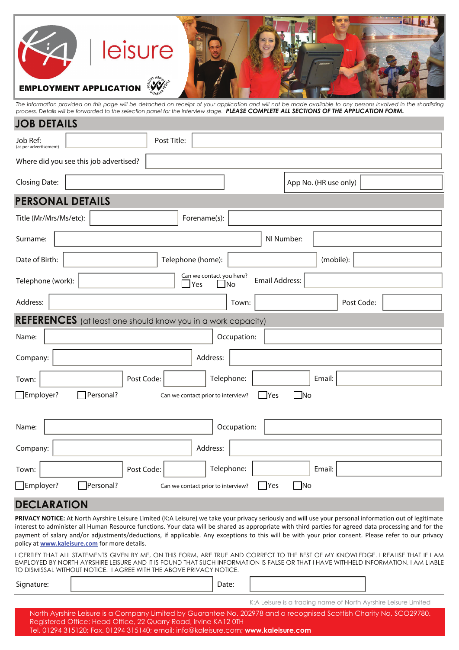# leisure **EMPLOYMENT APPLICAT**

*The information provided on this page will be detached on receipt of your application and will not be made available to any persons involved in the shortlisting process. Details will be forwarded to the selection panel for the interview stage. PLEASE COMPLETE ALL SECTIONS OF THE APPLICATION FORM.*

## Forename(s): Job Ref: Post Title: Surname: Title (Mr/Mrs/Ms/etc): Date of Birth: NI Number: App No. (HR use only) **PERSONAL DETAILS** Where did you see this job advertised? Closing Date: **JOB DETAILS** Telephone (home): Telephone (work): (mobile): Address: Post Code: **REFERENCES** (at least one should know you in a work capacity) Can we contact you here?  $\sqcap$ Yes  $\sqcap$ No Address: Post Code: Name: Name: Name: Name: Name: Name: Name: Name: Name: Name: Name: Name: Name: Name: Name: Name: Name: Name: Name: Name: Name: Name: Name: Name: Name: Name: Name: Name: Name: Name: Name: Name: Name: Name: Name: Name: Name: Telephone: | Email: Employer? **Personal?** Can we contact prior to interview? IPES INO Email Address: Company: Address: Name: Name: Name: Name: Name: Name: Name: Name: Name: Name: Name: Name: Name: Name: Name: Name: Name: Name: Name: Name: Name: Name: Name: Name: Name: Name: Name: Name: Name: Name: Name: Name: Name: Name: Name: Name: Name: **Employer?** Personal? Can we contact prior to interview? Yes No Company: (as per advertisem Town: Town: Town: | | Post Code: | | Telephone: | | Email:

## **DECLARATION**

**PRIVACY NOTICE:** At North Ayrshire Leisure Limited (K:A Leisure) we take your privacy seriously and will use your personal information out of legitimate interest to administer all Human Resource functions. Your data will be shared as appropriate with third parties for agreed data processing and for the payment of salary and/or adjustments/deductions, if applicable. Any exceptions to this will be with your prior consent. Please refer to our privacy policy at **www.kaleisure.com** for more details.

I CERTIFY THAT ALL STATEMENTS GIVEN BY ME, ON THIS FORM, ARE TRUE AND CORRECT TO THE BEST OF MY KNOWLEDGE. I REALISE THAT IF I AM EMPLOYED BY NORTH AYRSHIRE LEISURE AND IT IS FOUND THAT SUCH INFORMATION IS FALSE OR THAT I HAVE WITHHELD INFORMATION, I AM LIABLE TO DISMISSAL WITHOUT NOTICE. I AGREE WITH THE ABOVE PRIVACY NOTICE.

| $\sim$ | ≀ale |  |
|--------|------|--|
|        |      |  |

K:A Leisure is a trading name of North Ayrshire Leisure Limited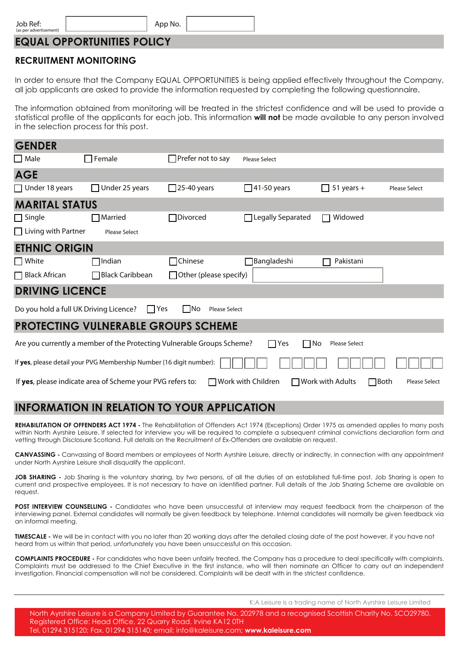App No.

## **EQUAL OPPORTUNITIES POLICY**

## **RECRUITMENT MONITORING**

In order to ensure that the Company EQUAL OPPORTUNITIES is being applied effectively throughout the Company, all job applicants are asked to provide the information requested by completing the following questionnaire.

The information obtained from monitoring will be treated in the strictest confidence and will be used to provide a statistical profile of the applicants for each job. This information **will not** be made available to any person involved in the selection process for this post.

| <b>GENDER</b>                          |                                                                        |                                   |                            |                                        |                      |
|----------------------------------------|------------------------------------------------------------------------|-----------------------------------|----------------------------|----------------------------------------|----------------------|
| $\Box$ Male                            | $\Box$ Female                                                          | $\Box$ Prefer not to say          | <b>Please Select</b>       |                                        |                      |
| <b>AGE</b>                             |                                                                        |                                   |                            |                                        |                      |
| $\Box$ Under 18 years                  | Under 25 years                                                         | $\Box$ 25-40 years                | $\Box$ 41-50 years         | $51$ years +<br>LΙ                     | <b>Please Select</b> |
| <b>MARITAL STATUS</b>                  |                                                                        |                                   |                            |                                        |                      |
| $\Box$ Single                          | $\square$ Married                                                      | □Divorced                         | $\Box$ Legally Separated   | Widowed                                |                      |
| $\Box$ Living with Partner             | <b>Please Select</b>                                                   |                                   |                            |                                        |                      |
| <b>ETHNIC ORIGIN</b>                   |                                                                        |                                   |                            |                                        |                      |
| $\Box$ White                           | $\Box$ Indian                                                          | $\Box$ Chinese                    | $\Box$ Bangladeshi         | Pakistani                              |                      |
| $\Box$ Black African                   | □ Black Caribbean                                                      | $\Box$ Other (please specify)     |                            |                                        |                      |
| <b>DRIVING LICENCE</b>                 |                                                                        |                                   |                            |                                        |                      |
| Do you hold a full UK Driving Licence? | $\prod$ Yes                                                            | $\Box$ No<br><b>Please Select</b> |                            |                                        |                      |
|                                        | <b>PROTECTING VULNERABLE GROUPS SCHEME</b>                             |                                   |                            |                                        |                      |
|                                        | Are you currently a member of the Protecting Vulnerable Groups Scheme? |                                   | $\Box$ Yes<br>$\square$ No | <b>Please Select</b>                   |                      |
|                                        | If yes, please detail your PVG Membership Number (16 digit number):    |                                   |                            |                                        |                      |
|                                        | If yes, please indicate area of Scheme your PVG refers to:             |                                   | <b>Work with Children</b>  | $\Box$ Both<br>$\Box$ Work with Adults | <b>Please Select</b> |

## **INFORMATION IN RELATION TO YOUR APPLICATION**

REHABILITATION OF OFFENDERS ACT 1974 - The Rehabilitation of Offenders Act 1974 (Exceptions) Order 1975 as amended applies to many posts within North Ayrshire Leisure. If selected for interview you will be required to complete a subsequent criminal convictions declaration form and vetting through Disclosure Scotland. Full details on the Recruitment of Ex-Offenders are available on request.

**CANVASSING -** Canvassing of Board members or employees of North Ayrshire Leisure, directly or indirectly, in connection with any appointment under North Ayrshire Leisure shall disqualify the applicant.

**JOB SHARING -** Job Sharing is the voluntary sharing, by two persons, of all the duties of an established full-time post. Job Sharing is open to current and prospective employees. It is not necessary to have an identified partner. Full details of the Job Sharing Scheme are available on request.

**POST INTERVIEW COUNSELLING** - Candidates who have been unsuccessful at interview may request feedback from the chairperson of the interviewing panel. External candidates will normally be given feedback by telephone. Internal candidates will normally be given feedback via an informal meeting.

**TIMESCALE -** We will be in contact with you no later than 20 working days after the detailed closing date of the post however, if you have not heard from us within that period, unfortunately you have been unsuccessful on this occasion.

**COMPLAINTS PROCEDURE -** For candidates who have been unfairly treated, the Company has a procedure to deal specifically with complaints. Complaints must be addressed to the Chief Executive in the first instance, who will then nominate an Officer to carry out an independent investigation. Financial compensation will not be considered. Complaints will be dealt with in the strictest confidence.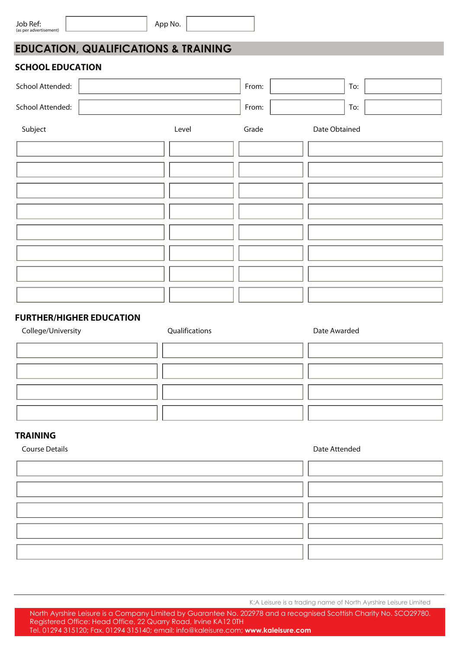**EDUCATION, QUALIFICATIONS & TRAINING**

#### **SCHOOL EDUCATION**

| School Attended: |       | From: | To:           |
|------------------|-------|-------|---------------|
| School Attended: |       | From: | To:           |
| Subject          | Level | Grade | Date Obtained |
|                  |       |       |               |
|                  |       |       |               |
|                  |       |       |               |
|                  |       |       |               |
|                  |       |       |               |
|                  |       |       |               |
|                  |       |       |               |
|                  |       |       |               |

## **FURTHER/HIGHER EDUCATION**

| College/University | Qualifications | Date Awarded |
|--------------------|----------------|--------------|
|                    |                |              |
|                    |                |              |
|                    |                |              |
|                    |                |              |
|                    |                |              |

#### **TRAINING**

**Course Details Course Details Course Details** 

K:A Leisure is a trading name of North Ayrshire Leisure Limited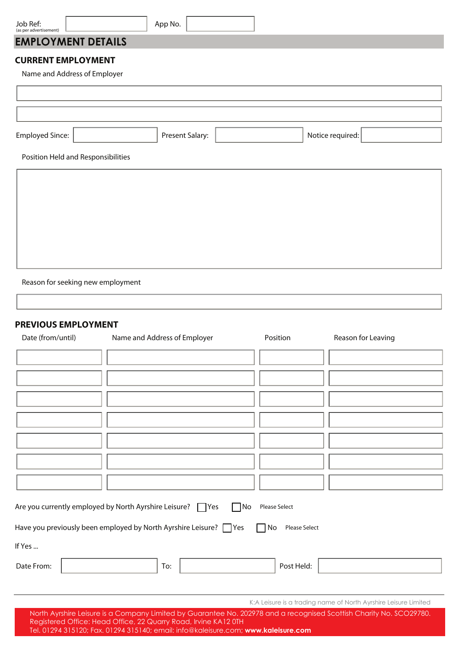| Job Ref:<br>(as per advertisement)                        | App No.                                                                                                |
|-----------------------------------------------------------|--------------------------------------------------------------------------------------------------------|
| <b>EMPLOYMENT DETAILS</b>                                 |                                                                                                        |
| <b>CURRENT EMPLOYMENT</b><br>Name and Address of Employer |                                                                                                        |
|                                                           |                                                                                                        |
|                                                           |                                                                                                        |
| <b>Employed Since:</b>                                    | Present Salary:<br>Notice required:                                                                    |
| Position Held and Responsibilities                        |                                                                                                        |
|                                                           |                                                                                                        |
|                                                           |                                                                                                        |
|                                                           |                                                                                                        |
|                                                           |                                                                                                        |
|                                                           |                                                                                                        |
|                                                           |                                                                                                        |
| Reason for seeking new employment                         |                                                                                                        |
| <b>PREVIOUS EMPLOYMENT</b><br>Date (from/until)           | Name and Address of Employer<br>Position<br>Reason for Leaving                                         |
|                                                           |                                                                                                        |
|                                                           |                                                                                                        |
|                                                           |                                                                                                        |
|                                                           |                                                                                                        |
|                                                           |                                                                                                        |
|                                                           |                                                                                                        |
|                                                           |                                                                                                        |
|                                                           |                                                                                                        |
|                                                           | Are you currently employed by North Ayrshire Leisure? TYes<br>$\Box$ No<br>Please Select               |
|                                                           | Have you previously been employed by North Ayrshire Leisure? TYes<br><b>Please Select</b><br>$\Box$ No |
| If Yes                                                    |                                                                                                        |
| Date From:                                                | Post Held:<br>To:                                                                                      |
|                                                           |                                                                                                        |
|                                                           | K:A Leisure is a trading name of North Ayrshire Leisure Limited                                        |

North Ayrshire Leisure is a Company Limited by Guarantee No. 202978 and a recognised Scottish Charity No. SCO29780. Registered Office: Head Office, 22 Quarry Road, Irvine KA12 0TH

Tel. 01294 315120; Fax. 01294 315140; email: info@kaleisure.com; **www.kaleisure.com**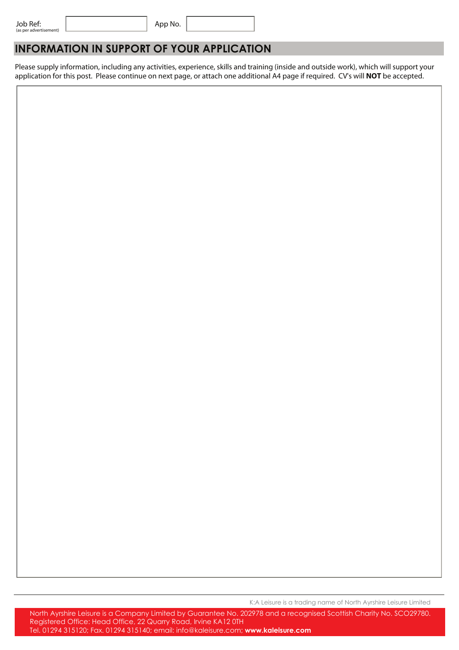App No.

## **INFORMATION IN SUPPORT OF YOUR APPLICATION**

Please supply information, including any activities, experience, skills and training (inside and outside work), which will support your application for this post. Please continue on next page, or attach one additional A4 page if required. CV's will **NOT** be accepted.

K:A Leisure is a trading name of North Ayrshire Leisure Limited